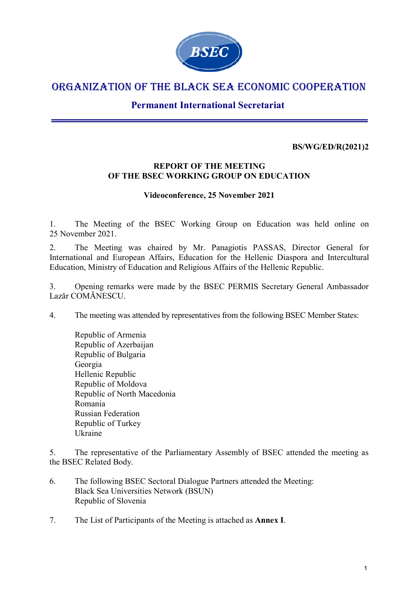

# ORGANIZATION OF THE BLACK SEA ECONOMIC COOPERATION

# **Permanent International Secretariat**

## **BS/WG/ED/R(2021)2**

#### **REPORT OF THE MEETING OF THE BSEC WORKING GROUP ON EDUCATION**

#### **Videoconference, 25 November 2021**

1. The Meeting of the BSEC Working Group on Education was held online on 25 November 2021.

2. The Meeting was chaired by Mr. Panagiotis PASSAS, Director General for International and European Affairs, Education for the Hellenic Diaspora and Intercultural Education, Ministry of Education and Religious Affairs of the Hellenic Republic.

3. Opening remarks were made by the BSEC PERMIS Secretary General Ambassador Lazăr COMĂNESCU.

4. The meeting was attended by representatives from the following BSEC Member States:

Republic of Armenia Republic of Azerbaijan Republic of Bulgaria Georgia Hellenic Republic Republic of Moldova Republic of North Macedonia Romania Russian Federation Republic of Turkey Ukraine

5. The representative of the Parliamentary Assembly of BSEC attended the meeting as the BSEC Related Body.

- 6. The following BSEC Sectoral Dialogue Partners attended the Meeting: Black Sea Universities Network (BSUN) Republic of Slovenia
- 7. The List of Participants of the Meeting is attached as **Annex I**.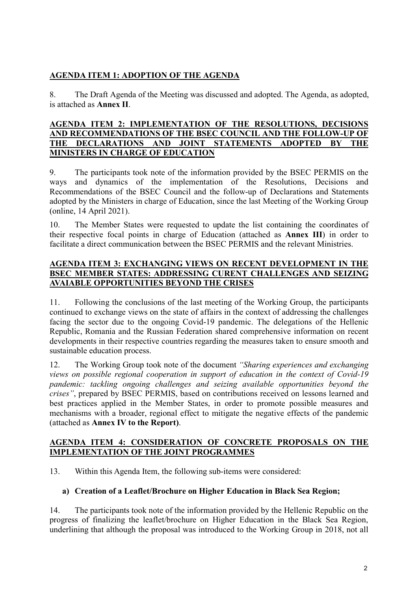## **AGENDA ITEM 1: ADOPTION OF THE AGENDA**

8. The Draft Agenda of the Meeting was discussed and adopted. The Agenda, as adopted, is attached as **Annex II**.

#### **AGENDA ITEM 2: IMPLEMENTATION OF THE RESOLUTIONS, DECISIONS AND RECOMMENDATIONS OF THE BSEC COUNCIL AND THE FOLLOW-UP OF THE DECLARATIONS AND JOINT STATEMENTS ADOPTED BY THE MINISTERS IN CHARGE OF EDUCATION**

9. The participants took note of the information provided by the BSEC PERMIS on the ways and dynamics of the implementation of the Resolutions, Decisions and Recommendations of the BSEC Council and the follow-up of Declarations and Statements adopted by the Ministers in charge of Education, since the last Meeting of the Working Group (online, 14 April 2021).

10. The Member States were requested to update the list containing the coordinates of their respective focal points in charge of Education (attached as **Annex III**) in order to facilitate a direct communication between the BSEC PERMIS and the relevant Ministries.

#### **AGENDA ITEM 3: EXCHANGING VIEWS ON RECENT DEVELOPMENT IN THE BSEC MEMBER STATES: ADDRESSING CURENT CHALLENGES AND SEIZING AVAIABLE OPPORTUNITIES BEYOND THE CRISES**

11. Following the conclusions of the last meeting of the Working Group, the participants continued to exchange views on the state of affairs in the context of addressing the challenges facing the sector due to the ongoing Covid-19 pandemic. The delegations of the Hellenic Republic, Romania and the Russian Federation shared comprehensive information on recent developments in their respective countries regarding the measures taken to ensure smooth and sustainable education process.

12. The Working Group took note of the document *"Sharing experiences and exchanging views on possible regional cooperation in support of education in the context of Covid-19 pandemic: tackling ongoing challenges and seizing available opportunities beyond the crises"*, prepared by BSEC PERMIS, based on contributions received on lessons learned and best practices applied in the Member States, in order to promote possible measures and mechanisms with a broader, regional effect to mitigate the negative effects of the pandemic (attached as **Annex IV to the Report)**.

#### **AGENDA ITEM 4: CONSIDERATION OF CONCRETE PROPOSALS ON THE IMPLEMENTATION OF THE JOINT PROGRAMMES**

13. Within this Agenda Item, the following sub-items were considered:

#### **a) Creation of a Leaflet/Brochure on Higher Education in Black Sea Region;**

14. The participants took note of the information provided by the Hellenic Republic on the progress of finalizing the leaflet/brochure on Higher Education in the Black Sea Region, underlining that although the proposal was introduced to the Working Group in 2018, not all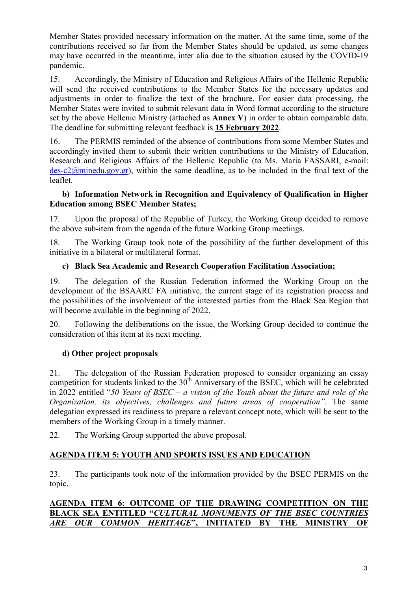Member States provided necessary information on the matter. At the same time, some of the contributions received so far from the Member States should be updated, as some changes may have occurred in the meantime, inter alia due to the situation caused by the COVID-19 pandemic.

15. Accordingly, the Ministry of Education and Religious Affairs of the Hellenic Republic will send the received contributions to the Member States for the necessary updates and adjustments in order to finalize the text of the brochure. For easier data processing, the Member States were invited to submit relevant data in Word format according to the structure set by the above Hellenic Ministry (attached as **Annex V**) in order to obtain comparable data. The deadline for submitting relevant feedback is **15 February 2022**.

16. The PERMIS reminded of the absence of contributions from some Member States and accordingly invited them to submit their written contributions to the Ministry of Education, Research and Religious Affairs of the Hellenic Republic (to Ms. Maria FASSARI, e-mail:  $des-c2@minedu.gov.gr)$  $des-c2@minedu.gov.gr)$ , within the same deadline, as to be included in the final text of the leaflet.

#### **b) Information Network in Recognition and Equivalency of Qualification in Higher Education among BSEC Member States;**

17. Upon the proposal of the Republic of Turkey, the Working Group decided to remove the above sub-item from the agenda of the future Working Group meetings.

18. The Working Group took note of the possibility of the further development of this initiative in a bilateral or multilateral format.

## **c) Black Sea Academic and Research Cooperation Facilitation Association;**

19. The delegation of the Russian Federation informed the Working Group on the development of the BSAARC FA initiative, the current stage of its registration process and the possibilities of the involvement of the interested parties from the Black Sea Region that will become available in the beginning of 2022.

20. Following the deliberations on the issue, the Working Group decided to continue the consideration of this item at its next meeting.

## **d) Other project proposals**

21. The delegation of the Russian Federation proposed to consider organizing an essay competition for students linked to the  $30<sup>th</sup>$  Anniversary of the BSEC, which will be celebrated in 2022 entitled "*50 Years of BSEC – a vision of the Youth about the future and role of the Organization, its objectives, challenges and future areas of cooperation".* The same delegation expressed its readiness to prepare a relevant concept note, which will be sent to the members of the Working Group in a timely manner.

22. The Working Group supported the above proposal.

## **AGENDA ITEM 5: YOUTH AND SPORTS ISSUES AND EDUCATION**

23. The participants took note of the information provided by the BSEC PERMIS on the topic.

## **AGENDA ITEM 6: OUTCOME OF THE DRAWING COMPETITION ON THE BLACK SEA ENTITLED "***CULTURAL MONUMENTS OF THE BSEC COUNTRIES ARE OUR COMMON HERITAGE***", INITIATED BY THE MINISTRY OF**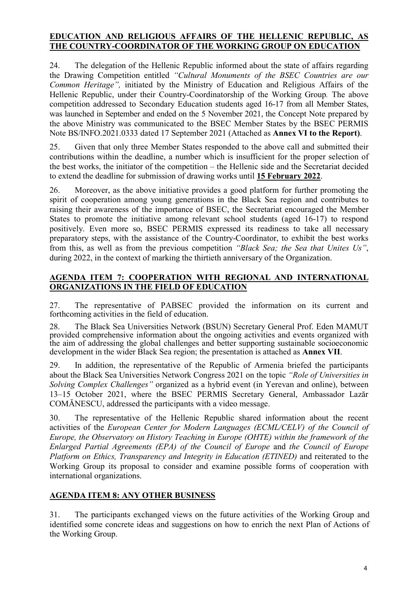## **EDUCATION AND RELIGIOUS AFFAIRS OF THE HELLENIC REPUBLIC, AS THE COUNTRY-COORDINATOR OF THE WORKING GROUP ON EDUCATION**

24. The delegation of the Hellenic Republic informed about the state of affairs regarding the Drawing Competition entitled *"Cultural Monuments of the BSEC Countries are our Common Heritage",* initiated by the Ministry of Education and Religious Affairs of the Hellenic Republic, under their Country-Coordinatorship of the Working Group*.* The above competition addressed to Secondary Education students aged 16-17 from all Member States, was launched in September and ended on the 5 November 2021, the Concept Note prepared by the above Ministry was communicated to the BSEC Member States by the BSEC PERMIS Note BS/INFO.2021.0333 dated 17 September 2021 (Attached as **Annex VI to the Report)**.

25. Given that only three Member States responded to the above call and submitted their contributions within the deadline, a number which is insufficient for the proper selection of the best works, the initiator of the competition – the Hellenic side and the Secretariat decided to extend the deadline for submission of drawing works until **15 February 2022**.

26. Moreover, as the above initiative provides a good platform for further promoting the spirit of cooperation among young generations in the Black Sea region and contributes to raising their awareness of the importance of BSEC, the Secretariat encouraged the Member States to promote the initiative among relevant school students (aged 16-17) to respond positively. Even more so, BSEC PERMIS expressed its readiness to take all necessary preparatory steps, with the assistance of the Country-Coordinator, to exhibit the best works from this, as well as from the previous competition *"Black Sea; the Sea that Unites Us"*, during 2022, in the context of marking the thirtieth anniversary of the Organization.

## **AGENDA ITEM 7: COOPERATION WITH REGIONAL AND INTERNATIONAL ORGANIZATIONS IN THE FIELD OF EDUCATION**

27. The representative of PABSEC provided the information on its current and forthcoming activities in the field of education.

28. The Black Sea Universities Network (BSUN) Secretary General Prof. Eden MAMUT provided comprehensive information about the ongoing activities and events organized with the aim of addressing the global challenges and better supporting sustainable socioeconomic development in the wider Black Sea region; the presentation is attached as **Annex VII**.

29. In addition, the representative of the Republic of Armenia briefed the participants about the Black Sea Universities Network Congress 2021 on the topic *"Role of Universities in Solving Complex Challenges"* organized as a hybrid event (in Yerevan and online), between 13–15 October 2021, where the BSEC PERMIS Secretary General, Ambassador Lazăr COMĂNESCU, addressed the participants with a video message.

30. The representative of the Hellenic Republic shared information about the recent activities of the *European Center for Modern Languages (ECML/CELV) of the Council of Europe, the Observatory on History Teaching in Europe (OHTE) within the framework of the Enlarged Partial Agreements (EPA) of the Council of Europe* and *the Council of Europe Platform on Ethics, Transparency and Integrity in Education (ETINED)* and reiterated to the Working Group its proposal to consider and examine possible forms of cooperation with international organizations.

## **AGENDA ITEM 8: ANY OTHER BUSINESS**

31. The participants exchanged views on the future activities of the Working Group and identified some concrete ideas and suggestions on how to enrich the next Plan of Actions of the Working Group.